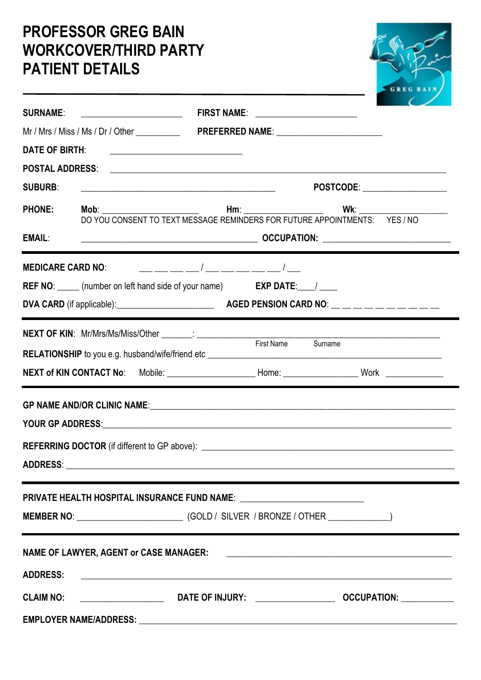## **PROFESSOR GREG BAIN WORKCOVER/THIRD PARTY PATIENT DETAILS**

| <b>SURNAME:</b> ______________________ |  |                                                                                                                                                                                                                               | FIRST NAME: _____________________                                                                                                                     |  |  |  |
|----------------------------------------|--|-------------------------------------------------------------------------------------------------------------------------------------------------------------------------------------------------------------------------------|-------------------------------------------------------------------------------------------------------------------------------------------------------|--|--|--|
|                                        |  |                                                                                                                                                                                                                               |                                                                                                                                                       |  |  |  |
|                                        |  | DATE OF BIRTH: <u>__________________________</u>                                                                                                                                                                              |                                                                                                                                                       |  |  |  |
| <b>POSTAL ADDRESS:</b>                 |  |                                                                                                                                                                                                                               |                                                                                                                                                       |  |  |  |
| <b>SUBURB:</b>                         |  |                                                                                                                                                                                                                               | POSTCODE: __________________<br><u> 1989 - Johann John Stone, meil er fan de ferskearre fan de ferskearre fan de ferskearre fan de ferskearre fan</u> |  |  |  |
| <b>PHONE:</b>                          |  |                                                                                                                                                                                                                               |                                                                                                                                                       |  |  |  |
| <b>EMAIL:</b>                          |  |                                                                                                                                                                                                                               |                                                                                                                                                       |  |  |  |
| <b>MEDICARE CARD NO:</b>               |  |                                                                                                                                                                                                                               |                                                                                                                                                       |  |  |  |
|                                        |  | REF NO: _____ (number on left hand side of your name) EXP DATE: ___ / ____                                                                                                                                                    |                                                                                                                                                       |  |  |  |
|                                        |  |                                                                                                                                                                                                                               |                                                                                                                                                       |  |  |  |
|                                        |  |                                                                                                                                                                                                                               |                                                                                                                                                       |  |  |  |
|                                        |  |                                                                                                                                                                                                                               |                                                                                                                                                       |  |  |  |
|                                        |  | PRIVATE HEALTH HOSPITAL INSURANCE FUND NAME: ______________________________                                                                                                                                                   |                                                                                                                                                       |  |  |  |
|                                        |  |                                                                                                                                                                                                                               |                                                                                                                                                       |  |  |  |
|                                        |  |                                                                                                                                                                                                                               |                                                                                                                                                       |  |  |  |
| <b>ADDRESS:</b>                        |  |                                                                                                                                                                                                                               |                                                                                                                                                       |  |  |  |
|                                        |  |                                                                                                                                                                                                                               |                                                                                                                                                       |  |  |  |
|                                        |  | EMPLOYER NAME/ADDRESS: LAND MARIAN CONTRACT AND A CONTRACT OF THE CONTRACT OF THE CONTRACT OF THE CONTRACT OF THE CONTRACT OF THE CONTRACT OF THE CONTRACT OF THE CONTRACT OF THE CONTRACT OF THE CONTRACT OF THE CONTRACT OF |                                                                                                                                                       |  |  |  |